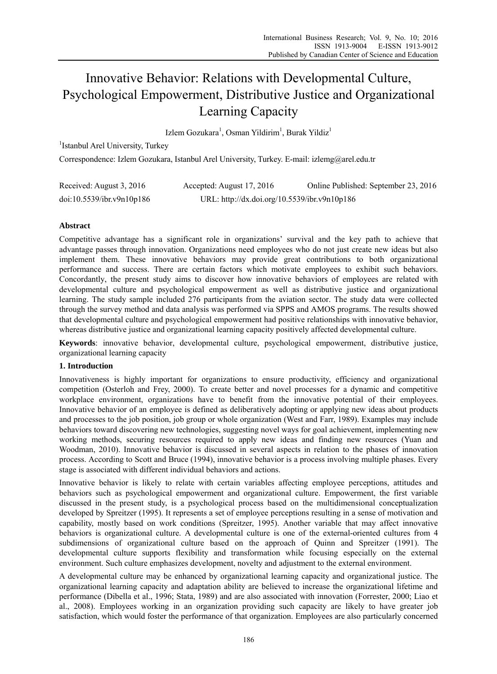# Innovative Behavior: Relations with Developmental Culture, Psychological Empowerment, Distributive Justice and Organizational Learning Capacity

Izlem Gozukara<sup>1</sup>, Osman Yildirim<sup>1</sup>, Burak Yildiz<sup>1</sup>

<sup>1</sup>Istanbul Arel University, Turkey

Correspondence: Izlem Gozukara, Istanbul Arel University, Turkey. E-mail: izlemg@arel.edu.tr

| Received: August 3, 2016  | Accepted: August 17, 2016                    | Online Published: September 23, 2016 |
|---------------------------|----------------------------------------------|--------------------------------------|
| doi:10.5539/ibr.v9n10p186 | URL: http://dx.doi.org/10.5539/ibr.v9n10p186 |                                      |

# **Abstract**

Competitive advantage has a significant role in organizations' survival and the key path to achieve that advantage passes through innovation. Organizations need employees who do not just create new ideas but also implement them. These innovative behaviors may provide great contributions to both organizational performance and success. There are certain factors which motivate employees to exhibit such behaviors. Concordantly, the present study aims to discover how innovative behaviors of employees are related with developmental culture and psychological empowerment as well as distributive justice and organizational learning. The study sample included 276 participants from the aviation sector. The study data were collected through the survey method and data analysis was performed via SPPS and AMOS programs. The results showed that developmental culture and psychological empowerment had positive relationships with innovative behavior, whereas distributive justice and organizational learning capacity positively affected developmental culture.

**Keywords**: innovative behavior, developmental culture, psychological empowerment, distributive justice, organizational learning capacity

# **1. Introduction**

Innovativeness is highly important for organizations to ensure productivity, efficiency and organizational competition (Osterloh and Frey, 2000). To create better and novel processes for a dynamic and competitive workplace environment, organizations have to benefit from the innovative potential of their employees. Innovative behavior of an employee is defined as deliberatively adopting or applying new ideas about products and processes to the job position, job group or whole organization (West and Farr, 1989). Examples may include behaviors toward discovering new technologies, suggesting novel ways for goal achievement, implementing new working methods, securing resources required to apply new ideas and finding new resources (Yuan and Woodman, 2010). Innovative behavior is discussed in several aspects in relation to the phases of innovation process. According to Scott and Bruce (1994), innovative behavior is a process involving multiple phases. Every stage is associated with different individual behaviors and actions.

Innovative behavior is likely to relate with certain variables affecting employee perceptions, attitudes and behaviors such as psychological empowerment and organizational culture. Empowerment, the first variable discussed in the present study, is a psychological process based on the multidimensional conceptualization developed by Spreitzer (1995). It represents a set of employee perceptions resulting in a sense of motivation and capability, mostly based on work conditions (Spreitzer, 1995). Another variable that may affect innovative behaviors is organizational culture. A developmental culture is one of the external-oriented cultures from 4 subdimensions of organizational culture based on the approach of Quinn and Spreitzer (1991). The developmental culture supports flexibility and transformation while focusing especially on the external environment. Such culture emphasizes development, novelty and adjustment to the external environment.

A developmental culture may be enhanced by organizational learning capacity and organizational justice. The organizational learning capacity and adaptation ability are believed to increase the organizational lifetime and performance (Dibella et al., 1996; Stata, 1989) and are also associated with innovation (Forrester, 2000; Liao et al., 2008). Employees working in an organization providing such capacity are likely to have greater job satisfaction, which would foster the performance of that organization. Employees are also particularly concerned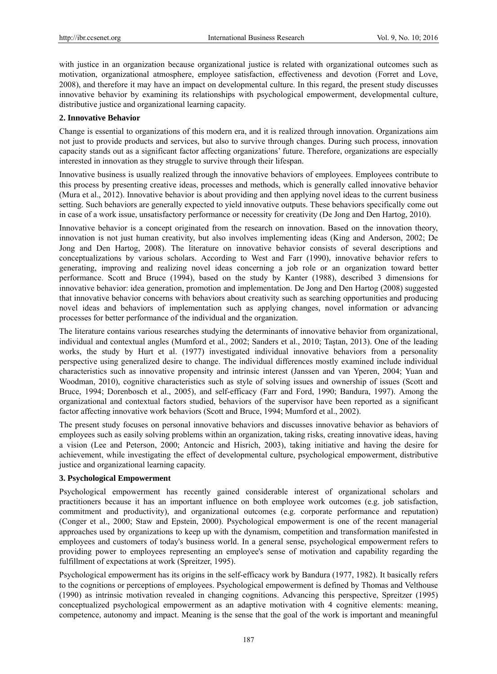with justice in an organization because organizational justice is related with organizational outcomes such as motivation, organizational atmosphere, employee satisfaction, effectiveness and devotion (Forret and Love, 2008), and therefore it may have an impact on developmental culture. In this regard, the present study discusses innovative behavior by examining its relationships with psychological empowerment, developmental culture, distributive justice and organizational learning capacity.

# **2. Innovative Behavior**

Change is essential to organizations of this modern era, and it is realized through innovation. Organizations aim not just to provide products and services, but also to survive through changes. During such process, innovation capacity stands out as a significant factor affecting organizations' future. Therefore, organizations are especially interested in innovation as they struggle to survive through their lifespan.

Innovative business is usually realized through the innovative behaviors of employees. Employees contribute to this process by presenting creative ideas, processes and methods, which is generally called innovative behavior (Mura et al., 2012). Innovative behavior is about providing and then applying novel ideas to the current business setting. Such behaviors are generally expected to yield innovative outputs. These behaviors specifically come out in case of a work issue, unsatisfactory performance or necessity for creativity (De Jong and Den Hartog, 2010).

Innovative behavior is a concept originated from the research on innovation. Based on the innovation theory, innovation is not just human creativity, but also involves implementing ideas (King and Anderson, 2002; De Jong and Den Hartog, 2008). The literature on innovative behavior consists of several descriptions and conceptualizations by various scholars. According to West and Farr (1990), innovative behavior refers to generating, improving and realizing novel ideas concerning a job role or an organization toward better performance. Scott and Bruce (1994), based on the study by Kanter (1988), described 3 dimensions for innovative behavior: idea generation, promotion and implementation. De Jong and Den Hartog (2008) suggested that innovative behavior concerns with behaviors about creativity such as searching opportunities and producing novel ideas and behaviors of implementation such as applying changes, novel information or advancing processes for better performance of the individual and the organization.

The literature contains various researches studying the determinants of innovative behavior from organizational, individual and contextual angles (Mumford et al., 2002; Sanders et al., 2010; Taştan, 2013). One of the leading works, the study by Hurt et al. (1977) investigated individual innovative behaviors from a personality perspective using generalized desire to change. The individual differences mostly examined include individual characteristics such as innovative propensity and intrinsic interest (Janssen and van Yperen, 2004; Yuan and Woodman, 2010), cognitive characteristics such as style of solving issues and ownership of issues (Scott and Bruce, 1994; Dorenbosch et al., 2005), and self-efficacy (Farr and Ford, 1990; Bandura, 1997). Among the organizational and contextual factors studied, behaviors of the supervisor have been reported as a significant factor affecting innovative work behaviors (Scott and Bruce, 1994; Mumford et al., 2002).

The present study focuses on personal innovative behaviors and discusses innovative behavior as behaviors of employees such as easily solving problems within an organization, taking risks, creating innovative ideas, having a vision (Lee and Peterson, 2000; Antoncic and Hisrich, 2003), taking initiative and having the desire for achievement, while investigating the effect of developmental culture, psychological empowerment, distributive justice and organizational learning capacity.

# **3. Psychological Empowerment**

Psychological empowerment has recently gained considerable interest of organizational scholars and practitioners because it has an important influence on both employee work outcomes (e.g. job satisfaction, commitment and productivity), and organizational outcomes (e.g. corporate performance and reputation) (Conger et al., 2000; Staw and Epstein, 2000). Psychological empowerment is one of the recent managerial approaches used by organizations to keep up with the dynamism, competition and transformation manifested in employees and customers of today's business world. In a general sense, psychological empowerment refers to providing power to employees representing an employee's sense of motivation and capability regarding the fulfillment of expectations at work (Spreitzer, 1995).

Psychological empowerment has its origins in the self-efficacy work by Bandura (1977, 1982). It basically refers to the cognitions or perceptions of employees. Psychological empowerment is defined by Thomas and Velthouse (1990) as intrinsic motivation revealed in changing cognitions. Advancing this perspective, Spreitzer (1995) conceptualized psychological empowerment as an adaptive motivation with 4 cognitive elements: meaning, competence, autonomy and impact. Meaning is the sense that the goal of the work is important and meaningful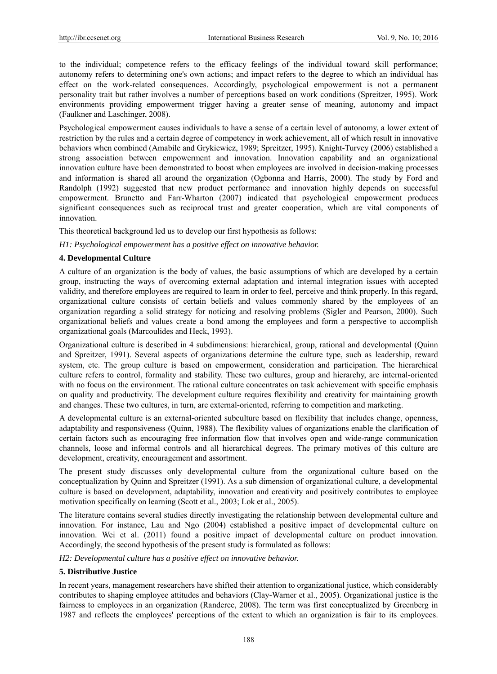to the individual; competence refers to the efficacy feelings of the individual toward skill performance; autonomy refers to determining one's own actions; and impact refers to the degree to which an individual has effect on the work-related consequences. Accordingly, psychological empowerment is not a permanent personality trait but rather involves a number of perceptions based on work conditions (Spreitzer, 1995). Work environments providing empowerment trigger having a greater sense of meaning, autonomy and impact (Faulkner and Laschinger, 2008).

Psychological empowerment causes individuals to have a sense of a certain level of autonomy, a lower extent of restriction by the rules and a certain degree of competency in work achievement, all of which result in innovative behaviors when combined (Amabile and Grykiewicz, 1989; Spreitzer, 1995). Knight-Turvey (2006) established a strong association between empowerment and innovation. Innovation capability and an organizational innovation culture have been demonstrated to boost when employees are involved in decision-making processes and information is shared all around the organization (Ogbonna and Harris, 2000). The study by Ford and Randolph (1992) suggested that new product performance and innovation highly depends on successful empowerment. Brunetto and Farr-Wharton (2007) indicated that psychological empowerment produces significant consequences such as reciprocal trust and greater cooperation, which are vital components of innovation.

This theoretical background led us to develop our first hypothesis as follows:

#### *H1: Psychological empowerment has a positive effect on innovative behavior.*

#### **4. Developmental Culture**

A culture of an organization is the body of values, the basic assumptions of which are developed by a certain group, instructing the ways of overcoming external adaptation and internal integration issues with accepted validity, and therefore employees are required to learn in order to feel, perceive and think properly. In this regard, organizational culture consists of certain beliefs and values commonly shared by the employees of an organization regarding a solid strategy for noticing and resolving problems (Sigler and Pearson, 2000). Such organizational beliefs and values create a bond among the employees and form a perspective to accomplish organizational goals (Marcoulides and Heck, 1993).

Organizational culture is described in 4 subdimensions: hierarchical, group, rational and developmental (Quinn and Spreitzer, 1991). Several aspects of organizations determine the culture type, such as leadership, reward system, etc. The group culture is based on empowerment, consideration and participation. The hierarchical culture refers to control, formality and stability. These two cultures, group and hierarchy, are internal-oriented with no focus on the environment. The rational culture concentrates on task achievement with specific emphasis on quality and productivity. The development culture requires flexibility and creativity for maintaining growth and changes. These two cultures, in turn, are external-oriented, referring to competition and marketing.

A developmental culture is an external-oriented subculture based on flexibility that includes change, openness, adaptability and responsiveness (Quinn, 1988). The flexibility values of organizations enable the clarification of certain factors such as encouraging free information flow that involves open and wide-range communication channels, loose and informal controls and all hierarchical degrees. The primary motives of this culture are development, creativity, encouragement and assortment.

The present study discusses only developmental culture from the organizational culture based on the conceptualization by Quinn and Spreitzer (1991). As a sub dimension of organizational culture, a developmental culture is based on development, adaptability, innovation and creativity and positively contributes to employee motivation specifically on learning (Scott et al., 2003; Lok et al., 2005).

The literature contains several studies directly investigating the relationship between developmental culture and innovation. For instance, Lau and Ngo (2004) established a positive impact of developmental culture on innovation. Wei et al. (2011) found a positive impact of developmental culture on product innovation. Accordingly, the second hypothesis of the present study is formulated as follows:

*H2: Developmental culture has a positive effect on innovative behavior.* 

## **5. Distributive Justice**

In recent years, management researchers have shifted their attention to organizational justice, which considerably contributes to shaping employee attitudes and behaviors (Clay-Warner et al., 2005). Organizational justice is the fairness to employees in an organization (Randeree, 2008). The term was first conceptualized by Greenberg in 1987 and reflects the employees' perceptions of the extent to which an organization is fair to its employees.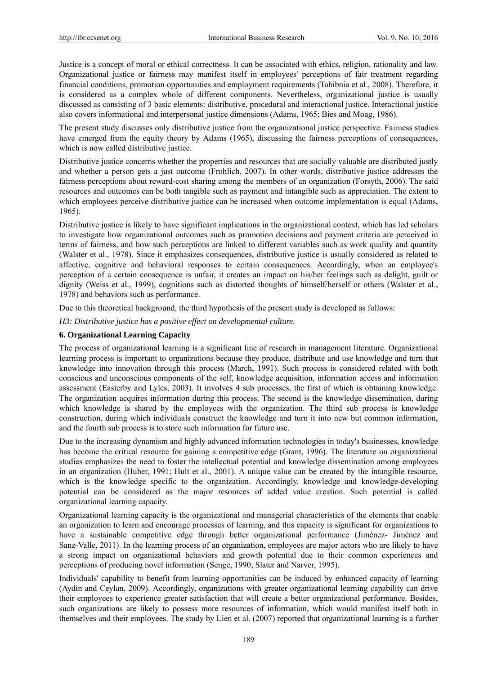Justice is a concept of moral or ethical correctness. It can be associated with ethics, religion, rationality and law. Organizational justice or fairness may manifest itself in employees' perceptions of fair treatment regarding financial conditions, promotion opportunities and employment requirements (Tabibnia et al., 2008). Therefore, it is considered as a complex whole of different components. Nevertheless, organizational justice is usually discussed as consisting of 3 basic elements: distributive, procedural and interactional justice. Interactional justice also covers informational and interpersonal justice dimensions (Adams, 1965; Bies and Moag, 1986).

The present study discusses only distributive justice from the organizational justice perspective. Fairness studies have emerged from the equity theory by Adams (1965), discussing the fairness perceptions of consequences, which is now called distributive justice.

Distributive justice concerns whether the properties and resources that are socially valuable are distributed justly and whether a person gets a just outcome (Frohlich, 2007). In other words, distributive justice addresses the fairness perceptions about reward-cost sharing among the members of an organization (Forsyth, 2006). The said resources and outcomes can be both tangible such as payment and intangible such as appreciation. The extent to which employees perceive distributive justice can be increased when outcome implementation is equal (Adams, 1965).

Distributive justice is likely to have significant implications in the organizational context, which has led scholars to investigate how organizational outcomes such as promotion decisions and payment criteria are perceived in terms of fairness, and how such perceptions are linked to different variables such as work quality and quantity (Walster et al., 1978). Since it emphasizes consequences, distributive justice is usually considered as related to affective, cognitive and behavioral responses to certain consequences. Accordingly, when an employee's perception of a certain consequence is unfair, it creates an impact on his/her feelings such as delight, guilt or dignity (Weiss et al., 1999), cognitions such as distorted thoughts of himself/herself or others (Walster et al., 1978) and behaviors such as performance.

Due to this theoretical background, the third hypothesis of the present study is developed as follows:

*H3: Distributive justice has a positive effect on developmental culture.* 

# **6. Organizational Learning Capacity**

The process of organizational learning is a significant line of research in management literature. Organizational learning process is important to organizations because they produce, distribute and use knowledge and turn that knowledge into innovation through this process (March, 1991). Such process is considered related with both conscious and unconscious components of the self, knowledge acquisition, information access and information assessment (Easterby and Lyles, 2003). It involves 4 sub processes, the first of which is obtaining knowledge. The organization acquires information during this process. The second is the knowledge dissemination, during which knowledge is shared by the employees with the organization. The third sub process is knowledge construction, during which individuals construct the knowledge and turn it into new but common information, and the fourth sub process is to store such information for future use.

Due to the increasing dynamism and highly advanced information technologies in today's businesses, knowledge has become the critical resource for gaining a competitive edge (Grant, 1996). The literature on organizational studies emphasizes the need to foster the intellectual potential and knowledge dissemination among employees in an organization (Huber, 1991; Hult et al., 2001). A unique value can be created by the intangible resource, which is the knowledge specific to the organization. Accordingly, knowledge and knowledge-developing potential can be considered as the major resources of added value creation. Such potential is called organizational learning capacity.

Organizational learning capacity is the organizational and managerial characteristics of the elements that enable an organization to learn and encourage processes of learning, and this capacity is significant for organizations to have a sustainable competitive edge through better organizational performance (Jiménez- Jiménez and Sanz-Valle, 2011). In the learning process of an organization, employees are major actors who are likely to have a strong impact on organizational behaviors and growth potential due to their common experiences and perceptions of producing novel information (Senge, 1990; Slater and Narver, 1995).

Individuals' capability to benefit from learning opportunities can be induced by enhanced capacity of learning (Aydin and Ceylan, 2009). Accordingly, organizations with greater organizational learning capability can drive their employees to experience greater satisfaction that will create a better organizational performance. Besides, such organizations are likely to possess more resources of information, which would manifest itself both in themselves and their employees. The study by Lien et al. (2007) reported that organizational learning is a further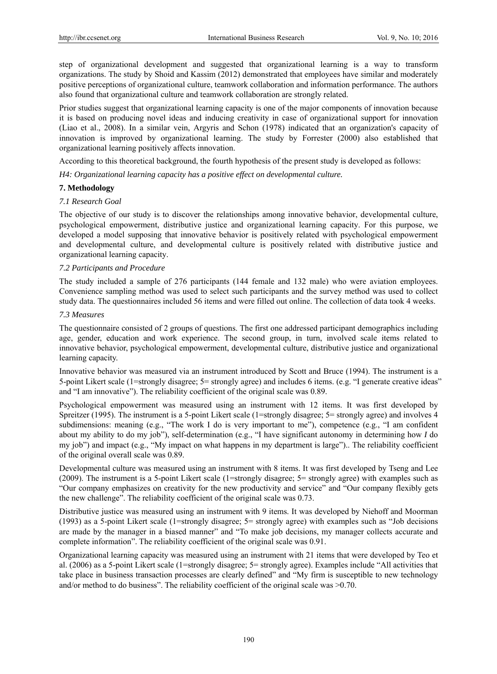step of organizational development and suggested that organizational learning is a way to transform organizations. The study by Shoid and Kassim (2012) demonstrated that employees have similar and moderately positive perceptions of organizational culture, teamwork collaboration and information performance. The authors also found that organizational culture and teamwork collaboration are strongly related.

Prior studies suggest that organizational learning capacity is one of the major components of innovation because it is based on producing novel ideas and inducing creativity in case of organizational support for innovation (Liao et al., 2008). In a similar vein, Argyris and Schon (1978) indicated that an organization's capacity of innovation is improved by organizational learning. The study by Forrester (2000) also established that organizational learning positively affects innovation.

According to this theoretical background, the fourth hypothesis of the present study is developed as follows:

*H4: Organizational learning capacity has a positive effect on developmental culture.* 

#### **7. Methodology**

#### *7.1 Research Goal*

The objective of our study is to discover the relationships among innovative behavior, developmental culture, psychological empowerment, distributive justice and organizational learning capacity. For this purpose, we developed a model supposing that innovative behavior is positively related with psychological empowerment and developmental culture, and developmental culture is positively related with distributive justice and organizational learning capacity.

## *7.2 Participants and Procedure*

The study included a sample of 276 participants (144 female and 132 male) who were aviation employees. Convenience sampling method was used to select such participants and the survey method was used to collect study data. The questionnaires included 56 items and were filled out online. The collection of data took 4 weeks.

#### *7.3 Measures*

The questionnaire consisted of 2 groups of questions. The first one addressed participant demographics including age, gender, education and work experience. The second group, in turn, involved scale items related to innovative behavior, psychological empowerment, developmental culture, distributive justice and organizational learning capacity.

Innovative behavior was measured via an instrument introduced by Scott and Bruce (1994). The instrument is a 5-point Likert scale (1=strongly disagree; 5= strongly agree) and includes 6 items. (e.g. "I generate creative ideas" and "I am innovative"). The reliability coefficient of the original scale was 0.89.

Psychological empowerment was measured using an instrument with 12 items. It was first developed by Spreitzer (1995). The instrument is a 5-point Likert scale (1=strongly disagree; 5= strongly agree) and involves 4 subdimensions: meaning (e.g., "The work I do is very important to me"), competence (e.g., "I am confident about my ability to do my job"), self-determination (e.g., "I have significant autonomy in determining how *I* do my job") and impact (e.g., "My impact on what happens in my department is large").. The reliability coefficient of the original overall scale was 0.89.

Developmental culture was measured using an instrument with 8 items. It was first developed by Tseng and Lee (2009). The instrument is a 5-point Likert scale (1=strongly disagree; 5= strongly agree) with examples such as "Our company emphasizes on creativity for the new productivity and service" and "Our company flexibly gets the new challenge". The reliability coefficient of the original scale was 0.73.

Distributive justice was measured using an instrument with 9 items. It was developed by Niehoff and Moorman (1993) as a 5-point Likert scale (1=strongly disagree; 5= strongly agree) with examples such as "Job decisions are made by the manager in a biased manner" and "To make job decisions, my manager collects accurate and complete information". The reliability coefficient of the original scale was 0.91.

Organizational learning capacity was measured using an instrument with 21 items that were developed by Teo et al. (2006) as a 5-point Likert scale (1=strongly disagree; 5= strongly agree). Examples include "All activities that take place in business transaction processes are clearly defined" and "My firm is susceptible to new technology and/or method to do business". The reliability coefficient of the original scale was >0.70.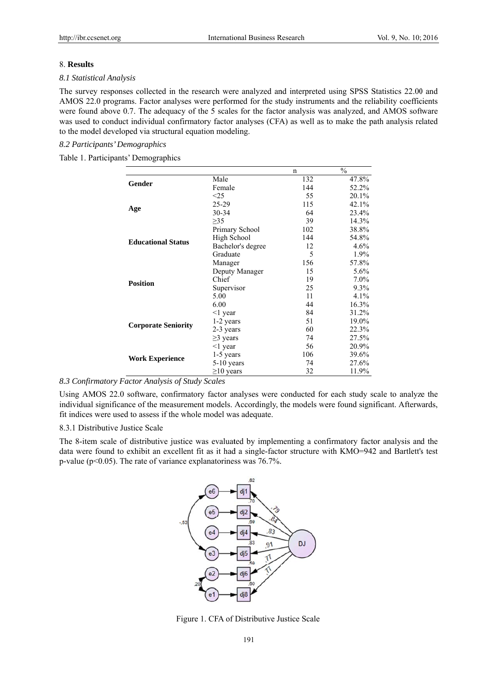## 8. Results

#### 8.1 Statistical Analysis

The survey responses collected in the research were analyzed and interpreted using SPSS Statistics 22.00 and AMOS 22.0 programs. Factor analyses were performed for the study instruments and the reliability coefficients were found above 0.7. The adequacy of the 5 scales for the factor analysis was analyzed, and AMOS software was used to conduct individual confirmatory factor analyses (CFA) as well as to make the path analysis related to the model developed via structural equation modeling.

## 8.2 Participants' Demographics

Table 1. Participants' Demographics

|                            |                                                                                                                                                                                                                                                                                                                                                                           | n     | $\frac{0}{0}$ |
|----------------------------|---------------------------------------------------------------------------------------------------------------------------------------------------------------------------------------------------------------------------------------------------------------------------------------------------------------------------------------------------------------------------|-------|---------------|
| Gender                     | Male                                                                                                                                                                                                                                                                                                                                                                      | 132   | 47.8%         |
|                            | Female                                                                                                                                                                                                                                                                                                                                                                    | 144   | 52.2%         |
|                            | $\leq$ 25                                                                                                                                                                                                                                                                                                                                                                 | 55    | 20.1%         |
|                            | 25-29                                                                                                                                                                                                                                                                                                                                                                     | 115   | 42.1%         |
| Age                        | $30 - 34$                                                                                                                                                                                                                                                                                                                                                                 | 64    | 23.4%         |
|                            | $\geq$ 35<br>39<br>102<br>Primary School<br>High School<br>144<br>Bachelor's degree<br>12<br>Graduate<br>5<br>156<br>Manager<br>Deputy Manager<br>15<br>Chief<br>19<br>Supervisor<br>25<br>11<br>5.00<br>6.00<br>44<br>84<br>$\leq$ 1 year<br>51<br>1-2 years<br>60<br>2-3 years<br>$\geq$ 3 years<br>74<br>56<br>$\leq$ 1 year<br>106<br>1-5 years<br>74<br>$5-10$ years | 14.3% |               |
|                            |                                                                                                                                                                                                                                                                                                                                                                           |       | 38.8%         |
|                            |                                                                                                                                                                                                                                                                                                                                                                           |       | 54.8%         |
| <b>Educational Status</b>  |                                                                                                                                                                                                                                                                                                                                                                           |       | 4.6%          |
|                            |                                                                                                                                                                                                                                                                                                                                                                           |       | 1.9%          |
|                            |                                                                                                                                                                                                                                                                                                                                                                           |       | 57.8%         |
|                            |                                                                                                                                                                                                                                                                                                                                                                           |       | 5.6%          |
|                            |                                                                                                                                                                                                                                                                                                                                                                           |       | $7.0\%$       |
| <b>Position</b>            |                                                                                                                                                                                                                                                                                                                                                                           |       | 9.3%          |
|                            |                                                                                                                                                                                                                                                                                                                                                                           |       | 4.1%          |
|                            |                                                                                                                                                                                                                                                                                                                                                                           |       | 16.3%         |
|                            |                                                                                                                                                                                                                                                                                                                                                                           |       | 31.2%         |
|                            |                                                                                                                                                                                                                                                                                                                                                                           |       | 19.0%         |
| <b>Corporate Seniority</b> |                                                                                                                                                                                                                                                                                                                                                                           |       | 22.3%         |
|                            |                                                                                                                                                                                                                                                                                                                                                                           |       | 27.5%         |
|                            |                                                                                                                                                                                                                                                                                                                                                                           |       | 20.9%         |
|                            |                                                                                                                                                                                                                                                                                                                                                                           |       | 39.6%         |
| <b>Work Experience</b>     |                                                                                                                                                                                                                                                                                                                                                                           |       | 27.6%         |
|                            | $\geq$ 10 years                                                                                                                                                                                                                                                                                                                                                           | 32    | 11.9%         |

# 8.3 Confirmatory Factor Analysis of Study Scales

Using AMOS 22.0 software, confirmatory factor analyses were conducted for each study scale to analyze the individual significance of the measurement models. Accordingly, the models were found significant. Afterwards, fit indices were used to assess if the whole model was adequate.

## 8.3.1 Distributive Justice Scale

The 8-item scale of distributive justice was evaluated by implementing a confirmatory factor analysis and the data were found to exhibit an excellent fit as it had a single-factor structure with KMO=942 and Bartlett's test p-value ( $p<0.05$ ). The rate of variance explanatoriness was 76.7%.



Figure 1. CFA of Distributive Justice Scale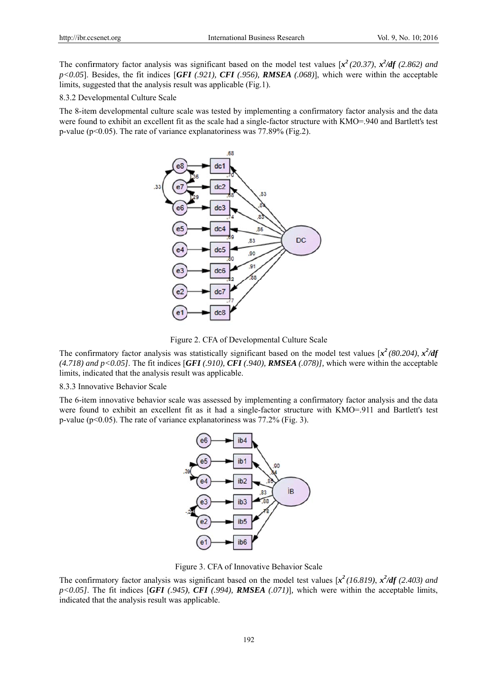The confirmatory factor analysis was significant based on the model test values  $[x^2(20.37), x^2/df(2.862)$  and  $p$ <0.05]. Besides, the fit indices [*GFI* (.921), *CFI* (.956), **RMSEA** (.068)], which were within the acceptable limits, suggested that the analysis result was applicable (Fig.1).

8.3.2 Developmental Culture Scale

The 8-item developmental culture scale was tested by implementing a confirmatory factor analysis and the data were found to exhibit an excellent fit as the scale had a single-factor structure with KMO=.940 and Bartlett's test p-value ( $p<0.05$ ). The rate of variance explanatoriness was 77.89% (Fig.2).



Figure 2. CFA of Developmental Culture Scale

The confirmatory factor analysis was statistically significant based on the model test values  $[x^2(80.204), x^2/df]$ (4.718) and  $p < 0.05$ ]. The fit indices [*GFI* (.910), *CFI* (.940), *RMSEA* (.078)], which were within the acceptable limits, indicated that the analysis result was applicable.

8.3.3 Innovative Behavior Scale

The 6-item innovative behavior scale was assessed by implementing a confirmatory factor analysis and the data were found to exhibit an excellent fit as it had a single-factor structure with KMO=.911 and Bartlett's test p-value ( $p<0.05$ ). The rate of variance explanatoriness was 77.2% (Fig. 3).



Figure 3. CFA of Innovative Behavior Scale

The confirmatory factor analysis was significant based on the model test values  $\int x^2 (16.819)$ ,  $\frac{x^2}{df} (2.403)$  and  $p$ <0.05]. The fit indices [*GFI* (.945), *CFI* (.994), *RMSEA* (.071)], which were within the acceptable limits, indicated that the analysis result was applicable.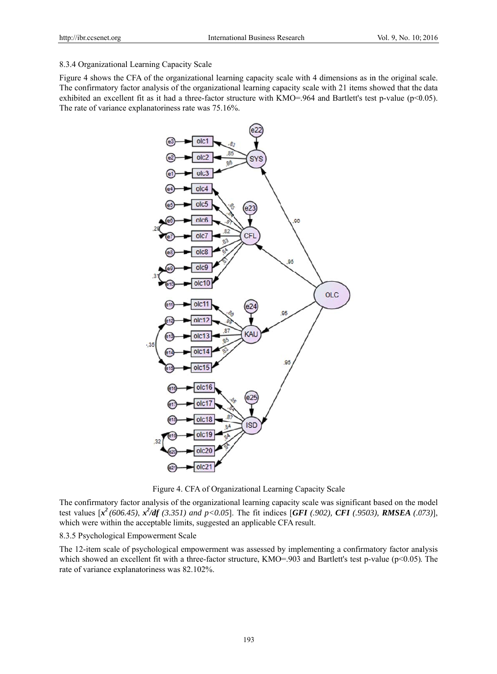# 8.3.4 Organizational Learning Capacity Scale

Figure 4 shows the CFA of the organizational learning capacity scale with 4 dimensions as in the original scale. The confirmatory factor analysis of the organizational learning capacity scale with 21 items showed that the data exhibited an excellent fit as it had a three-factor structure with  $KMO=964$  and Bartlett's test p-value (p<0.05). The rate of variance explanatoriness rate was 75.16%.



Figure 4. CFA of Organizational Learning Capacity Scale

The confirmatory factor analysis of the organizational learning capacity scale was significant based on the model test values  $[x^2(606.45), x^2/df(3.351)$  and  $p < 0.05$ ]. The fit indices [GFI (.902), CFI (.9503), RMSEA (.073)], which were within the acceptable limits, suggested an applicable CFA result.

# 8.3.5 Psychological Empowerment Scale

The 12-item scale of psychological empowerment was assessed by implementing a confirmatory factor analysis which showed an excellent fit with a three-factor structure, KMO=.903 and Bartlett's test p-value ( $p<0.05$ ). The rate of variance explanatoriness was 82.102%.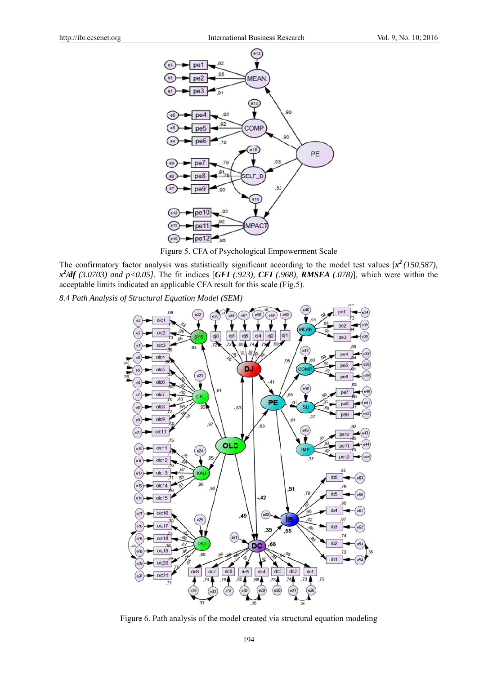

Figure 5. CFA of Psychological Empowerment Scale

The confirmatory factor analysis was statistically significant according to the model test values  $[x^2(150.587),$  $x^2/df$  (3.0703) and p<0.05]. The fit indices [GFI (.923), CFI (.968), RMSEA (.078)], which were within the acceptable limits indicated an applicable CFA result for this scale (Fig.5).

8.4 Path Analysis of Structural Equation Model (SEM)



Figure 6. Path analysis of the model created via structural equation modeling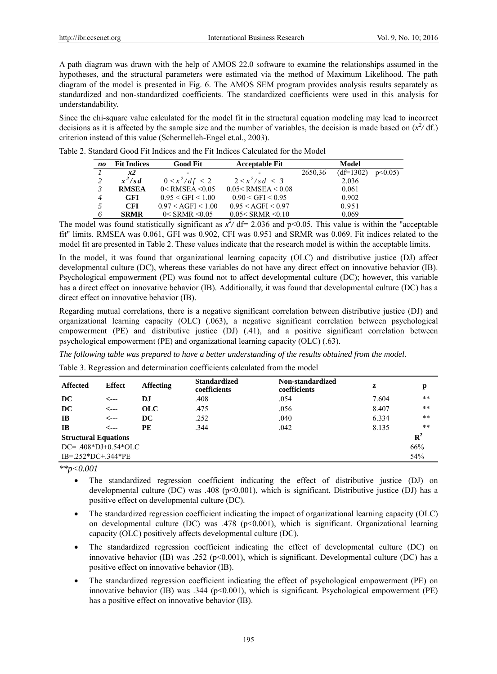A path diagram was drawn with the help of AMOS 22.0 software to examine the relationships assumed in the hypotheses, and the structural parameters were estimated via the method of Maximum Likelihood. The path diagram of the model is presented in Fig. 6. The AMOS SEM program provides analysis results separately as standardized and non-standardized coefficients. The standardized coefficients were used in this analysis for understandability.

Since the chi-square value calculated for the model fit in the structural equation modeling may lead to incorrect decisions as it is affected by the sample size and the number of variables, the decision is made based on  $(x^2/df)$ . criterion instead of this value (Schermelleh-Engel et.al., 2003).

| Table 2. Standard Good Fit Indices and the Fit Indices Calculated for the Model |  |  |  |
|---------------------------------------------------------------------------------|--|--|--|
|                                                                                 |  |  |  |

| no             | <b>Fit Indices</b> | <b>Good Fit</b>             | <b>Acceptable Fit</b>     |         | Model       |        |
|----------------|--------------------|-----------------------------|---------------------------|---------|-------------|--------|
|                | x2                 |                             |                           | 2650,36 | $(df=1302)$ | p<0.05 |
|                | $x^2$ /sd          | $0 \le x^2/df < 2$          | $2 \le x^2/sd \le 3$      |         | 2.036       |        |
|                | <b>RMSEA</b>       | $0 <$ RMSEA $\leq 0.05$     | 0.05 < RMSEA < 0.08       |         | 0.061       |        |
| $\overline{4}$ | <b>GFI</b>         | 0.95 < GFI < 1.00           | 0.90 < GFI < 0.95         |         | 0.902       |        |
|                | CFI.               | $0.97 < \text{AGFI} < 1.00$ | 0.95 < AGFI < 0.97        |         | 0.951       |        |
|                | <b>SRMR</b>        | $0 <$ SRMR $\leq 0.05$      | $0.05 <$ SRMR $\leq 0.10$ |         | 0.069       |        |

The model was found statistically significant as  $x^2/df = 2.036$  and p<0.05. This value is within the "acceptable" fit" limits. RMSEA was 0.061, GFI was 0.902, CFI was 0.951 and SRMR was 0.069. Fit indices related to the model fit are presented in Table 2. These values indicate that the research model is within the acceptable limits.

In the model, it was found that organizational learning capacity (OLC) and distributive justice (DJ) affect developmental culture (DC), whereas these variables do not have any direct effect on innovative behavior (IB). Psychological empowerment (PE) was found not to affect developmental culture (DC); however, this variable has a direct effect on innovative behavior (IB). Additionally, it was found that developmental culture (DC) has a direct effect on innovative behavior (IB).

Regarding mutual correlations, there is a negative significant correlation between distributive justice (DJ) and organizational learning capacity (OLC) (.063), a negative significant correlation between psychological empowerment (PE) and distributive justice (DJ) (.41), and a positive significant correlation between psychological empowerment (PE) and organizational learning capacity (OLC) (.63).

*The following table was prepared to have a better understanding of the results obtained from the model.*

Table 3. Regression and determination coefficients calculated from the model

| <b>Affected</b>               | <b>Effect</b> | <b>Affecting</b> | <b>Standardized</b><br>coefficients | Non-standardized<br>coefficients | z     | p           |
|-------------------------------|---------------|------------------|-------------------------------------|----------------------------------|-------|-------------|
| DC                            | <---          | D.I              | .408                                | .054                             | 7.604 | $* *$       |
| DC                            | <---          | <b>OLC</b>       | .475                                | .056                             | 8.407 | $* *$       |
| $\mathbf{I}$                  | <---          | DC.              | .252                                | .040                             | 6.334 | $* *$       |
| <b>IB</b>                     | <---          | PE               | .344                                | .042                             | 8.135 | $**$        |
| <b>Structural Equations</b>   |               |                  |                                     |                                  |       | ${\bf R}^2$ |
| $DC = .408 * DJ + 0.54 * OLC$ |               |                  |                                     |                                  |       | 66%         |
| $IB = 252 * DC + 344 * PE$    |               |                  |                                     |                                  |       | 54%         |

*\*\*p<0.001*

- The standardized regression coefficient indicating the effect of distributive justice (DJ) on developmental culture (DC) was .408 (p<0.001), which is significant. Distributive justice (DJ) has a positive effect on developmental culture (DC).
- The standardized regression coefficient indicating the impact of organizational learning capacity (OLC) on developmental culture (DC) was .478 ( $p<0.001$ ), which is significant. Organizational learning capacity (OLC) positively affects developmental culture (DC).
- The standardized regression coefficient indicating the effect of developmental culture (DC) on innovative behavior (IB) was .252 ( $p<0.001$ ), which is significant. Developmental culture (DC) has a positive effect on innovative behavior (IB).
- The standardized regression coefficient indicating the effect of psychological empowerment (PE) on innovative behavior (IB) was .344 ( $p<0.001$ ), which is significant. Psychological empowerment (PE) has a positive effect on innovative behavior (IB).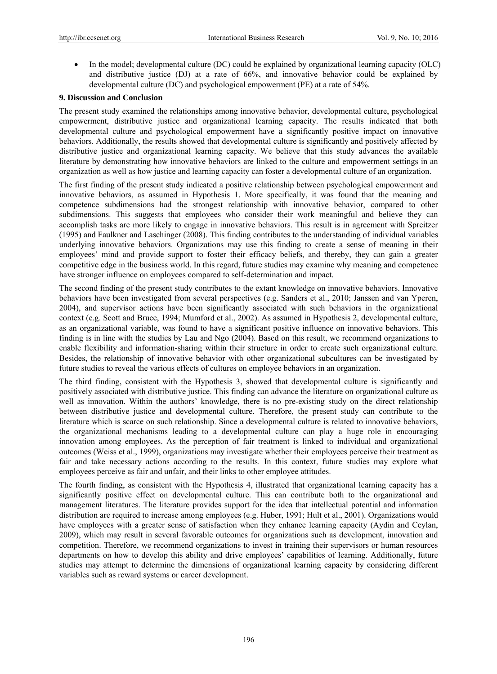• In the model; developmental culture (DC) could be explained by organizational learning capacity (OLC) and distributive justice (DJ) at a rate of 66%, and innovative behavior could be explained by developmental culture (DC) and psychological empowerment (PE) at a rate of 54%.

# **9. Discussion and Conclusion**

The present study examined the relationships among innovative behavior, developmental culture, psychological empowerment, distributive justice and organizational learning capacity. The results indicated that both developmental culture and psychological empowerment have a significantly positive impact on innovative behaviors. Additionally, the results showed that developmental culture is significantly and positively affected by distributive justice and organizational learning capacity. We believe that this study advances the available literature by demonstrating how innovative behaviors are linked to the culture and empowerment settings in an organization as well as how justice and learning capacity can foster a developmental culture of an organization.

The first finding of the present study indicated a positive relationship between psychological empowerment and innovative behaviors, as assumed in Hypothesis 1. More specifically, it was found that the meaning and competence subdimensions had the strongest relationship with innovative behavior, compared to other subdimensions. This suggests that employees who consider their work meaningful and believe they can accomplish tasks are more likely to engage in innovative behaviors. This result is in agreement with Spreitzer (1995) and Faulkner and Laschinger (2008). This finding contributes to the understanding of individual variables underlying innovative behaviors. Organizations may use this finding to create a sense of meaning in their employees' mind and provide support to foster their efficacy beliefs, and thereby, they can gain a greater competitive edge in the business world. In this regard, future studies may examine why meaning and competence have stronger influence on employees compared to self-determination and impact.

The second finding of the present study contributes to the extant knowledge on innovative behaviors. Innovative behaviors have been investigated from several perspectives (e.g. Sanders et al., 2010; Janssen and van Yperen, 2004), and supervisor actions have been significantly associated with such behaviors in the organizational context (e.g. Scott and Bruce, 1994; Mumford et al., 2002). As assumed in Hypothesis 2, developmental culture, as an organizational variable, was found to have a significant positive influence on innovative behaviors. This finding is in line with the studies by Lau and Ngo (2004). Based on this result, we recommend organizations to enable flexibility and information-sharing within their structure in order to create such organizational culture. Besides, the relationship of innovative behavior with other organizational subcultures can be investigated by future studies to reveal the various effects of cultures on employee behaviors in an organization.

The third finding, consistent with the Hypothesis 3, showed that developmental culture is significantly and positively associated with distributive justice. This finding can advance the literature on organizational culture as well as innovation. Within the authors' knowledge, there is no pre-existing study on the direct relationship between distributive justice and developmental culture. Therefore, the present study can contribute to the literature which is scarce on such relationship. Since a developmental culture is related to innovative behaviors, the organizational mechanisms leading to a developmental culture can play a huge role in encouraging innovation among employees. As the perception of fair treatment is linked to individual and organizational outcomes (Weiss et al., 1999), organizations may investigate whether their employees perceive their treatment as fair and take necessary actions according to the results. In this context, future studies may explore what employees perceive as fair and unfair, and their links to other employee attitudes.

The fourth finding, as consistent with the Hypothesis 4, illustrated that organizational learning capacity has a significantly positive effect on developmental culture. This can contribute both to the organizational and management literatures. The literature provides support for the idea that intellectual potential and information distribution are required to increase among employees (e.g. Huber, 1991; Hult et al., 2001). Organizations would have employees with a greater sense of satisfaction when they enhance learning capacity (Aydin and Ceylan, 2009), which may result in several favorable outcomes for organizations such as development, innovation and competition. Therefore, we recommend organizations to invest in training their supervisors or human resources departments on how to develop this ability and drive employees' capabilities of learning. Additionally, future studies may attempt to determine the dimensions of organizational learning capacity by considering different variables such as reward systems or career development.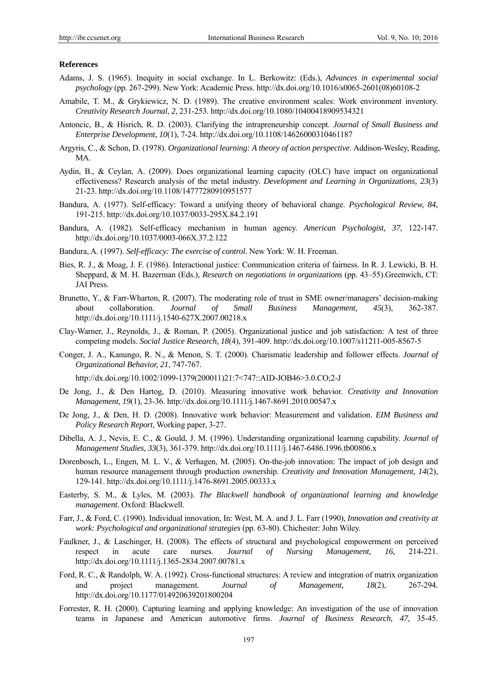#### **References**

- Adams, J. S. (1965). Inequity in social exchange. In L. Berkowitz: (Eds.), *Advances in experimental social psychology* (pp. 267-299). New York: Academic Press. http://dx.doi.org/10.1016/s0065-2601(08)60108-2
- Amabile, T. M., & Grykiewicz, N. D. (1989). The creative environment scales: Work environment inventory. *Creativity Research Journal, 2,* 231-253*.* http://dx.doi.org/10.1080/10400418909534321
- Antoncic, B., & Hisrich, R. D. (2003). Clarifying the intrapreneurship concept. *Journal of Small Business and Enterprise Development, 10*(1), 7-24. http://dx.doi.org/10.1108/14626000310461187
- Argyris, C., & Schon, D. (1978). *Organizational learning: A theory of action perspective*. Addison-Wesley, Reading, MA.
- Aydin, B., & Ceylan, A. (2009). Does organizational learning capacity (OLC) have impact on organizational effectiveness? Research analysis of the metal industry. *Development and Learning in Organizations, 23*(3) 21-23. http://dx.doi.org/10.1108/14777280910951577
- Bandura, A. (1977). Self-efficacy: Toward a unifying theory of behavioral change. *Psychological Review, 84*, 191-215. http://dx.doi.org/10.1037/0033-295X.84.2.191
- Bandura, A. (1982). Self-efficacy mechanism in human agency. *American Psychologist, 37*, 122-147. http://dx.doi.org/10.1037/0003-066X.37.2.122
- Bandura, A. (1997). *Self-efficacy: The exercise of control*. New York: W. H. Freeman.
- Bies, R. J., & Moag, J. F. (1986). Interactional justice: Communication criteria of fairness. In R. J. Lewicki, B. H. Sheppard, & M. H. Bazerman (Eds.), *Research on negotiations in organizations* (pp. 43–55).Greenwich, CT: JAI Press.
- Brunetto, Y., & Farr-Wharton, R. (2007). The moderating role of trust in SME owner/managers' decision-making about collaboration. *Journal of Small Business Management, 45*(3), 362-387. http://dx.doi.org/10.1111/j.1540-627X.2007.00218.x
- Clay-Warner, J., Reynolds, J., & Roman, P. (2005). Organizational justice and job satisfaction: A test of three competing models. *Social Justice Research, 18*(4), 391-409. http://dx.doi.org/10.1007/s11211-005-8567-5
- Conger, J. A., Kanungo, R. N., & Menon, S. T. (2000). Charismatic leadership and follower effects. *Journal of Organizational Behavior, 21*, 747-767.

http://dx.doi.org/10.1002/1099-1379(200011)21:7<747::AID-JOB46>3.0.CO;2-J

- De Jong, J., & Den Hartog, D. (2010). Measuring innovative work behavior. *Creativity and Innovation Management, 19*(1), 23-36. http://dx.doi.org/10.1111/j.1467-8691.2010.00547.x
- De Jong, J., & Den, H. D. (2008). Innovative work behavior: Measurement and validation. *EIM Business and Policy Research Report*, Working paper, 3-27.
- Dibella, A. J., Nevis, E. C., & Gould, J. M. (1996). Understanding organizational learnıng capability. *Journal of Management Studies, 33*(3), 361-379. http://dx.doi.org/10.1111/j.1467-6486.1996.tb00806.x
- Dorenbosch, L., Engen, M. L. V., & Verhagen, M. (2005). On-the-job innovation: The impact of job design and human resource management through production ownership. *Creativity and Innovation Management, 14*(2), 129-141. http://dx.doi.org/10.1111/j.1476-8691.2005.00333.x
- Easterby, S. M., & Lyles, M. (2003). *The Blackwell handbook of organizational learning and knowledge management*. Oxford: Blackwell.
- Farr, J., & Ford, C. (1990). Individual innovation, In: West, M. A. and J. L. Farr (1990), *Innovation and creativity at work: Psychological and organizational strategies* (pp. 63-80). Chichester: John Wiley.
- Faulkner, J., & Laschinger, H. (2008). The effects of structural and psychological empowerment on perceived respect in acute care nurses. *Journal of Nursing Management, 16*, 214-221. http://dx.doi.org/10.1111/j.1365-2834.2007.00781.x
- Ford, R. C., & Randolph, W. A. (1992). Cross-functional structures: A review and integration of matrix organization and project management. *Journal of Management, 18*(2), 267-294*.*  http://dx.doi.org/10.1177/014920639201800204
- Forrester, R. H. (2000). Capturing learning and applying knowledge: An investigation of the use of innovation teams in Japanese and American automotive firms. *Journal of Business Research, 47*, 35-45.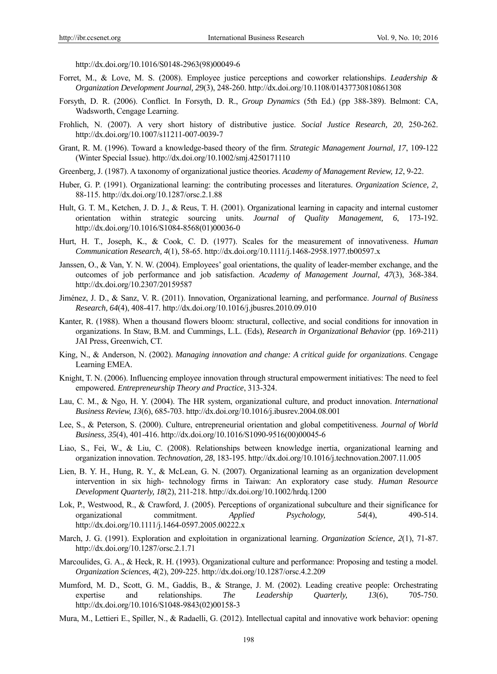http://dx.doi.org/10.1016/S0148-2963(98)00049-6

- Forret, M., & Love, M. S. (2008). Employee justice perceptions and coworker relationships. *Leadership & Organization Development Journal, 29*(3), 248-260. http://dx.doi.org/10.1108/01437730810861308
- Forsyth, D. R. (2006). Conflict. In Forsyth, D. R., *Group Dynamics* (5th Ed.) (pp 388-389). Belmont: CA, Wadsworth, Cengage Learning.
- Frohlich, N. (2007). A very short history of distributive justice. *Social Justice Research, 20*, 250-262. http://dx.doi.org/10.1007/s11211-007-0039-7
- Grant, R. M. (1996). Toward a knowledge-based theory of the firm. *Strategic Management Journal, 17*, 109-122 (Winter Special Issue). http://dx.doi.org/10.1002/smj.4250171110
- Greenberg, J. (1987). A taxonomy of organizational justice theories. *Academy of Management Review, 12*, 9-22.
- Huber, G. P. (1991). Organizational learning: the contributing processes and literatures. *Organization Science, 2*, 88-115. http://dx.doi.org/10.1287/orsc.2.1.88
- Hult, G. T. M., Ketchen, J. D. J., & Reus, T. H. (2001). Organizational learning in capacity and internal customer orientation within strategic sourcing units. *Journal of Quality Management, 6*, 173-192. http://dx.doi.org/10.1016/S1084-8568(01)00036-0
- Hurt, H. T., Joseph, K., & Cook, C. D. (1977). Scales for the measurement of innovativeness. *Human Communication Research, 4*(1), 58-65. http://dx.doi.org/10.1111/j.1468-2958.1977.tb00597.x
- Janssen, O., & Van, Y. N. W. (2004). Employees' goal orientations, the quality of leader-member exchange, and the outcomes of job performance and job satisfaction. *Academy of Management Journal, 47*(3), 368-384. http://dx.doi.org/10.2307/20159587
- Jiménez, J. D., & Sanz, V. R. (2011). Innovation, Organizational learning, and performance. *Journal of Business Research, 64*(4), 408-417. http://dx.doi.org/10.1016/j.jbusres.2010.09.010
- Kanter, R. (1988). When a thousand flowers bloom: structural, collective, and social conditions for innovation in organizations. In Staw, B.M. and Cummings, L.L. (Eds), *Research in Organizational Behavior* (pp. 169-211) JAI Press, Greenwich, CT.
- King, N., & Anderson, N. (2002). *Managing innovation and change: A critical guide for organizations*. Cengage Learning EMEA.
- Knight, T. N. (2006). Influencing employee innovation through structural empowerment initiatives: The need to feel empowered. *Entrepreneurship Theory and Practice*, 313-324.
- Lau, C. M., & Ngo, H. Y. (2004). The HR system, organizational culture, and product innovation. *International Business Review, 13*(6), 685-703. http://dx.doi.org/10.1016/j.ibusrev.2004.08.001
- Lee, S., & Peterson, S. (2000). Culture, entrepreneurial orientation and global competitiveness. *Journal of World Business, 35*(4), 401-416. http://dx.doi.org/10.1016/S1090-9516(00)00045-6
- Liao, S., Fei, W., & Liu, C. (2008). Relationships between knowledge inertia, organizational learning and organization innovation. *Technovation, 28*, 183-195. http://dx.doi.org/10.1016/j.technovation.2007.11.005
- Lien, B. Y. H., Hung, R. Y., & McLean, G. N. (2007). Organizational learning as an organization development intervention in six high- technology firms in Taiwan: An exploratory case study. *Human Resource Development Quarterly, 18*(2), 211-218. http://dx.doi.org/10.1002/hrdq.1200
- Lok, P., Westwood, R., & Crawford, J. (2005). Perceptions of organizational subculture and their significance for organizational commitment. *Applied Psychology, 54*(4), 490-514. http://dx.doi.org/10.1111/j.1464-0597.2005.00222.x
- March, J. G. (1991). Exploration and exploitation in organizational learning. *Organization Science, 2*(1), 71-87. http://dx.doi.org/10.1287/orsc.2.1.71
- Marcoulides, G. A., & Heck, R. H. (1993). Organizational culture and performance: Proposing and testing a model. *Organization Sciences, 4*(2), 209-225. http://dx.doi.org/10.1287/orsc.4.2.209
- Mumford, M. D., Scott, G. M., Gaddis, B., & Strange, J. M. (2002). Leading creative people: Orchestrating expertise and relationships. *The Leadership Quarterly, 13*(6), 705-750. http://dx.doi.org/10.1016/S1048-9843(02)00158-3
- Mura, M., Lettieri E., Spiller, N., & Radaelli, G. (2012). Intellectual capital and innovative work behavior: opening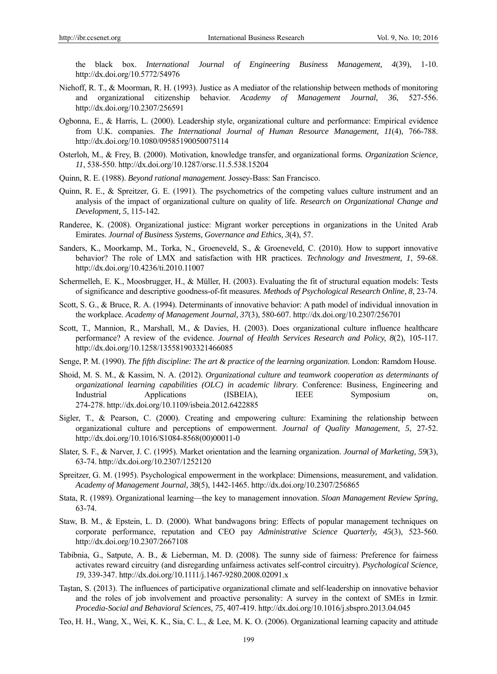the black box. *International Journal of Engineering Business Management, 4*(39), 1-10. http://dx.doi.org/10.5772/54976

- Niehoff, R. T., & Moorman, R. H. (1993). Justice as A mediator of the relationship between methods of monitoring and organizational citizenship behavior. *Academy of Management Journal, 36*, 527-556. http://dx.doi.org/10.2307/256591
- Ogbonna, E., & Harris, L. (2000). Leadership style, organizational culture and performance: Empirical evidence from U.K. companies. *The International Journal of Human Resource Management, 11*(4), 766-788. http://dx.doi.org/10.1080/09585190050075114
- Osterloh, M., & Frey, B. (2000). Motivation, knowledge transfer, and organizational forms*. Organization Science, 11*, 538-550. http://dx.doi.org/10.1287/orsc.11.5.538.15204
- Quinn, R. E. (1988). *Beyond rational management.* Jossey-Bass: San Francisco.
- Quinn, R. E., & Spreitzer, G. E. (1991). The psychometrics of the competing values culture instrument and an analysis of the impact of organizational culture on quality of life. *Research on Organizational Change and Development, 5*, 115-142.
- Randeree, K. (2008). Organizational justice: Migrant worker perceptions in organizations in the United Arab Emirates. *Journal of Business Systems, Governance and Ethics, 3*(4), 57.
- Sanders, K., Moorkamp, M., Torka, N., Groeneveld, S., & Groeneveld, C. (2010). How to support innovative behavior? The role of LMX and satisfaction with HR practices. *Technology and Investment, 1*, 59-68. http://dx.doi.org/10.4236/ti.2010.11007
- Schermelleh, E. K., Moosbrugger, H., & Müller, H. (2003). Evaluating the fit of structural equation models: Tests of significance and descriptive goodness-of-fit measures. *Methods of Psychological Research Online, 8*, 23-74.
- Scott, S. G., & Bruce, R. A. (1994). Determinants of innovative behavior: A path model of individual innovation in the workplace. *Academy of Management Journal, 37*(3), 580-607. http://dx.doi.org/10.2307/256701
- Scott, T., Mannion, R., Marshall, M., & Davies, H. (2003). Does organizational culture influence healthcare performance? A review of the evidence. *Journal of Health Services Research and Policy, 8*(2), 105-117. http://dx.doi.org/10.1258/135581903321466085
- Senge, P. M. (1990). *The fifth discipline: The art & practice of the learning organization*. London: Ramdom House.
- Shoid, M. S. M., & Kassim, N. A. (2012). *Organizational culture and teamwork cooperation as determinants of organizational learning capabilities (OLC) in academic library*. Conference: Business, Engineering and Industrial Applications (ISBEIA), IEEE Symposium on, 274-278. http://dx.doi.org/10.1109/isbeia.2012.6422885
- Sigler, T., & Pearson, C. (2000). Creating and empowering culture: Examining the relationship between organizational culture and perceptions of empowerment. *Journal of Quality Management, 5*, 27-52. http://dx.doi.org/10.1016/S1084-8568(00)00011-0
- Slater, S. F., & Narver, J. C. (1995). Market orientation and the learning organization. *Journal of Marketing, 59*(3), 63-74. http://dx.doi.org/10.2307/1252120
- Spreitzer, G. M. (1995). Psychological empowerment in the workplace: Dimensions, measurement, and validation. *Academy of Management Journal, 38*(5), 1442-1465. http://dx.doi.org/10.2307/256865
- Stata, R. (1989). Organizational learning—the key to management innovation. *Sloan Management Review Spring,* 63-74.
- Staw, B. M., & Epstein, L. D. (2000). What bandwagons bring: Effects of popular management techniques on corporate performance, reputation and CEO pay *Administrative Science Quarterly, 45*(3), 523-560. http://dx.doi.org/10.2307/2667108
- Tabibnia, G., Satpute, A. B., & Lieberman, M. D. (2008). The sunny side of fairness: Preference for fairness activates reward circuitry (and disregarding unfairness activates self-control circuitry). *Psychological Science, 19*, 339-347. http://dx.doi.org/10.1111/j.1467-9280.2008.02091.x
- Taştan, S. (2013). The influences of participative organizational climate and self-leadership on innovative behavior and the roles of job involvement and proactive personality: A survey in the context of SMEs in Izmir. *Procedia-Social and Behavioral Sciences, 75*, 407-419. http://dx.doi.org/10.1016/j.sbspro.2013.04.045
- Teo, H. H., Wang, X., Wei, K. K., Sia, C. L., & Lee, M. K. O. (2006). Organizational learning capacity and attitude